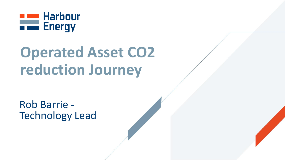

# **Operated Asset CO2 reduction Journey**

Rob Barrie - Technology Lead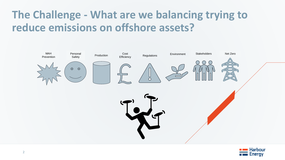# **The Challenge - What are we balancing trying to reduce emissions on offshore assets?**



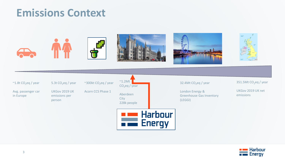#### **Emissions Context**



#### $~^{\sim}$ 1.8t CO<sub>2</sub>eq / year

Avg. passenger car in Europe

UKGov 2019 UK

5.3t  $CO<sub>2</sub>$ eq / year

 $\sim$ 300kt CO<sub>2</sub>eq / year

Acorn CCS Phase 1

emissions per person

 $~^{\sim}$ 1.2Mt $~$  $CO<sub>2</sub>$ eq / year Aberdeen City 228k people



32.4Mt $CO<sub>2</sub>$ eq / year

London Energy & Greenhouse Gas Inventory (LEGGI)

 $351.5$ Mt CO<sub>2</sub>eq / year

UKGov 2019 UK net emissions

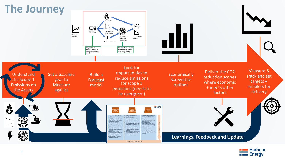

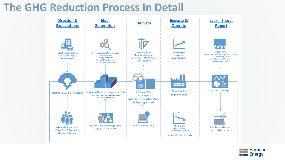### **The GHG Reduction Process In Detail**



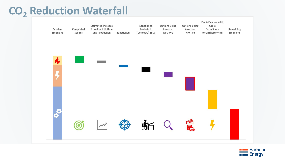# **CO<sup>2</sup> Reduction Waterfall**



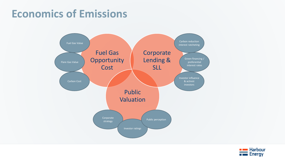### **Economics of Emissions**